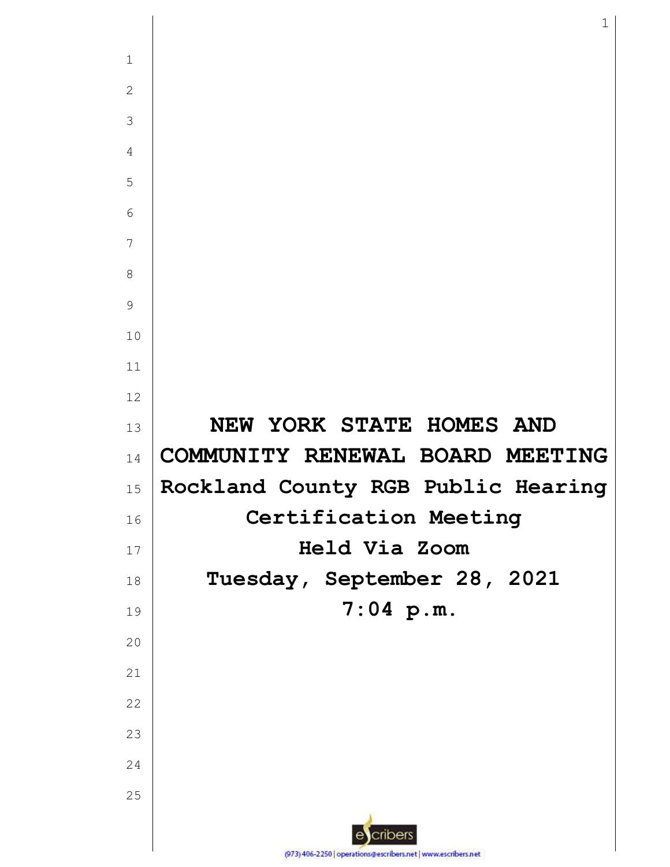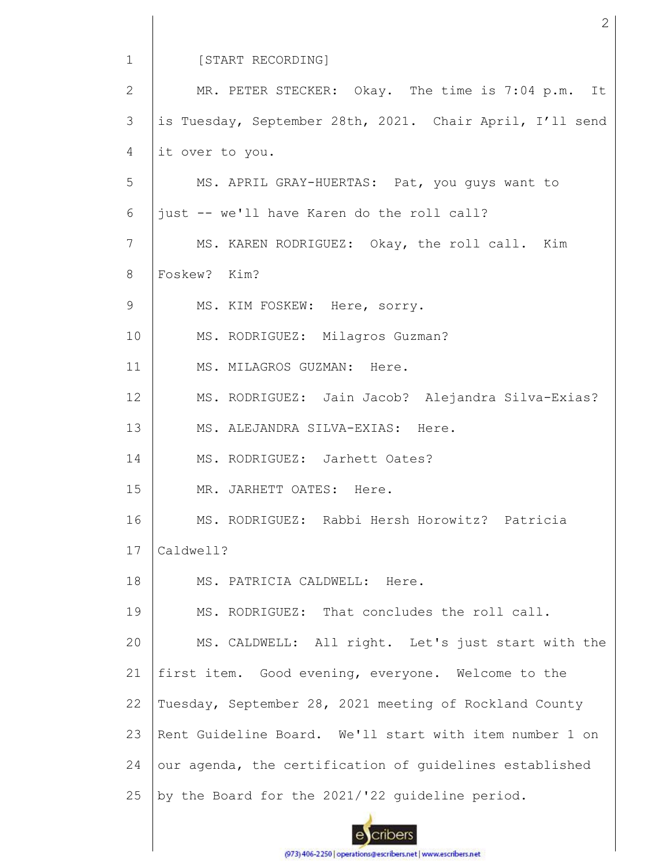| $\mathbf{1}$ | [START RECORDING]                                        |
|--------------|----------------------------------------------------------|
| 2            | MR. PETER STECKER: Okay. The time is 7:04 p.m. It        |
| 3            | is Tuesday, September 28th, 2021. Chair April, I'll send |
| 4            | it over to you.                                          |
| 5            | MS. APRIL GRAY-HUERTAS: Pat, you guys want to            |
| 6            | just -- we'll have Karen do the roll call?               |
| 7            | MS. KAREN RODRIGUEZ: Okay, the roll call. Kim            |
| 8            | Foskew? Kim?                                             |
| 9            | MS. KIM FOSKEW: Here, sorry.                             |
| 10           | MS. RODRIGUEZ: Milagros Guzman?                          |
| 11           | MS. MILAGROS GUZMAN: Here.                               |
| 12           | MS. RODRIGUEZ: Jain Jacob? Alejandra Silva-Exias?        |
| 13           | MS. ALEJANDRA SILVA-EXIAS: Here.                         |
| 14           | MS. RODRIGUEZ: Jarhett Oates?                            |
| 15           | MR. JARHETT OATES: Here.                                 |
| 16           | MS. RODRIGUEZ: Rabbi Hersh Horowitz? Patricia            |
| 17           | Caldwell?                                                |
| 18           | MS. PATRICIA CALDWELL: Here.                             |
| 19           | MS. RODRIGUEZ: That concludes the roll call.             |
| 20           | MS. CALDWELL: All right. Let's just start with the       |
| 21           | first item. Good evening, everyone. Welcome to the       |
| 22           | Tuesday, September 28, 2021 meeting of Rockland County   |
| 23           | Rent Guideline Board. We'll start with item number 1 on  |
| 24           | our agenda, the certification of guidelines established  |
| 25           | by the Board for the 2021/'22 quideline period.          |

2

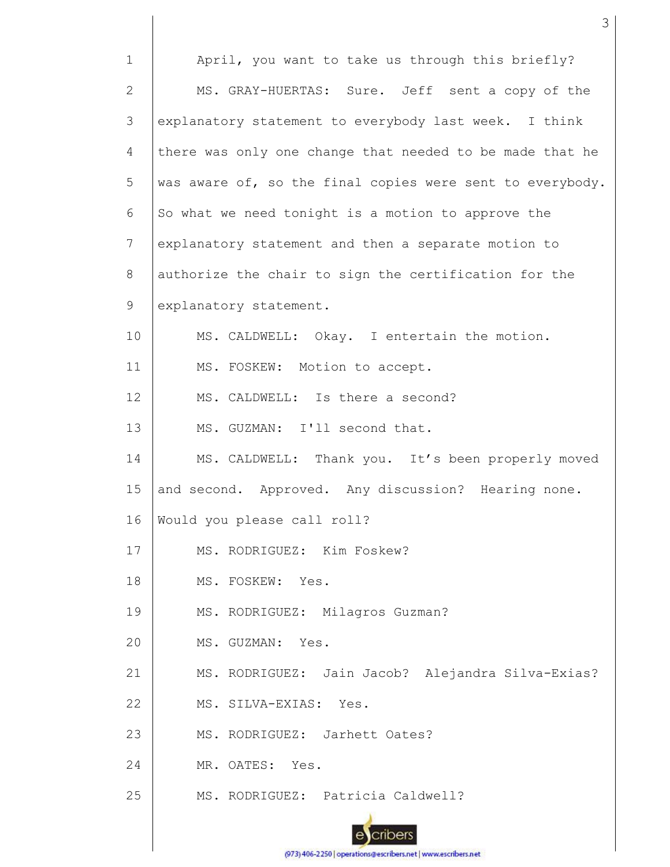| $\mathbf 1$    | April, you want to take us through this briefly?          |
|----------------|-----------------------------------------------------------|
| $\mathbf{2}$   | MS. GRAY-HUERTAS: Sure. Jeff sent a copy of the           |
| 3              | explanatory statement to everybody last week. I think     |
| $\overline{4}$ | there was only one change that needed to be made that he  |
| 5              | was aware of, so the final copies were sent to everybody. |
| 6              | So what we need tonight is a motion to approve the        |
| 7              | explanatory statement and then a separate motion to       |
| 8              | authorize the chair to sign the certification for the     |
| 9              | explanatory statement.                                    |
| 10             | MS. CALDWELL: Okay. I entertain the motion.               |
| 11             | MS. FOSKEW: Motion to accept.                             |
| 12             | MS. CALDWELL: Is there a second?                          |
| 13             | MS. GUZMAN: I'll second that.                             |
| 14             | MS. CALDWELL: Thank you. It's been properly moved         |
| 15             | and second. Approved. Any discussion? Hearing none.       |
| 16             | Would you please call roll?                               |
| 17             | MS. RODRIGUEZ: Kim Foskew?                                |
| 18             | MS. FOSKEW:<br>Yes.                                       |
| 19             | MS. RODRIGUEZ: Milagros Guzman?                           |
| 20             | MS. GUZMAN:<br>Yes.                                       |
| 21             | MS. RODRIGUEZ: Jain Jacob? Alejandra Silva-Exias?         |
| 22             | MS. SILVA-EXIAS: Yes.                                     |
| 23             | MS. RODRIGUEZ: Jarhett Oates?                             |
| 24             | MR. OATES: Yes.                                           |
| 25             | MS. RODRIGUEZ: Patricia Caldwell?                         |
|                |                                                           |

3

escribers (973) 406-2250 | operations@escribers.net | www.escribers.net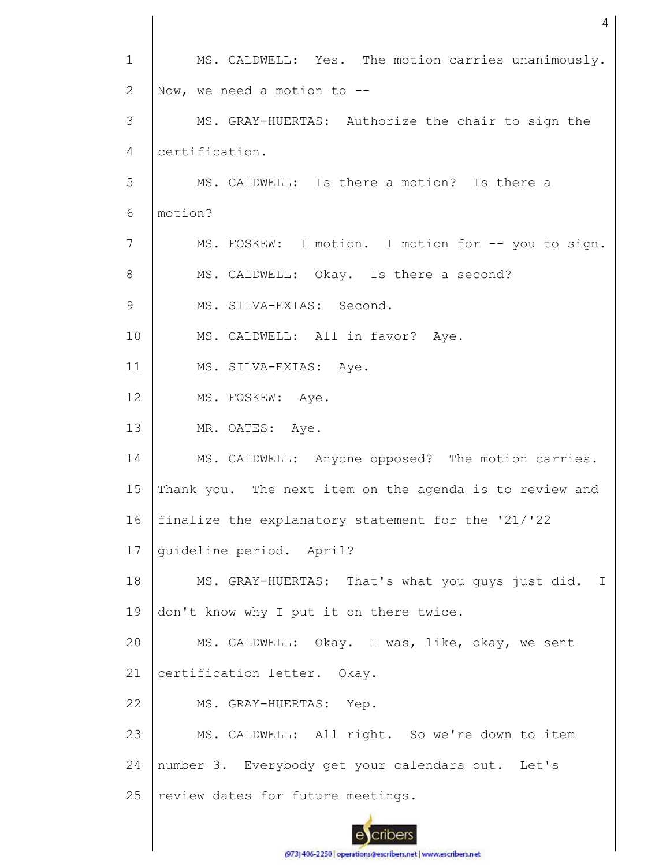1 2 3 4 5 6 7 8 9 10 11 12 13 14 15 16 17 18 19 20 21 22 23 24 25 MS. CALDWELL: Yes. The motion carries unanimously. Now, we need a motion to  $--$ MS. GRAY-HUERTAS: Authorize the chair to sign the certification. MS. CALDWELL: Is there a motion? Is there a motion? MS. FOSKEW: I motion. I motion for -- you to sign. MS. CALDWELL: Okay. Is there a second? MS. SILVA-EXIAS: Second. MS. CALDWELL: All in favor? Aye. MS. SILVA-EXIAS: Aye. MS. FOSKEW: Aye. MR. OATES: Aye. MS. CALDWELL: Anyone opposed? The motion carries. Thank you. The next item on the agenda is to review and finalize the explanatory statement for the '21/'22 guideline period. April? MS. GRAY-HUERTAS: That's what you guys just did. I don't know why I put it on there twice. MS. CALDWELL: Okay. I was, like, okay, we sent certification letter. Okay. MS. GRAY-HUERTAS: Yep. MS. CALDWELL: All right. So we're down to item number 3. Everybody get your calendars out. Let's review dates for future meetings.

4

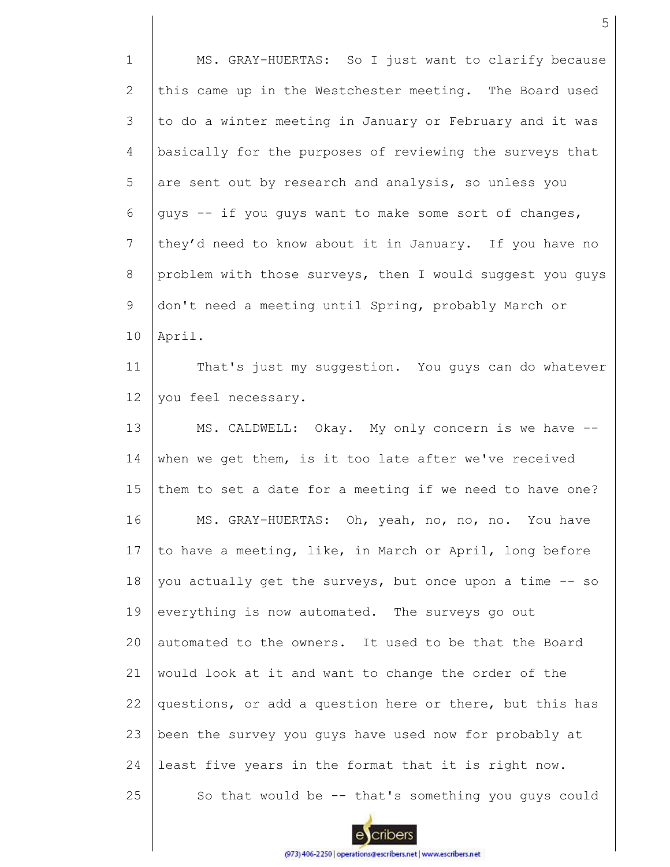1 2 3 4 5 6 7 8 9 10 11 12 13 14 15 16 17 18 19 20 21 22 23 24 25 MS. GRAY-HUERTAS: So I just want to clarify because this came up in the Westchester meeting. The Board used to do a winter meeting in January or February and it was basically for the purposes of reviewing the surveys that are sent out by research and analysis, so unless you guys -- if you guys want to make some sort of changes, they'd need to know about it in January. If you have no problem with those surveys, then I would suggest you guys don't need a meeting until Spring, probably March or April. That's just my suggestion. You guys can do whatever you feel necessary. MS. CALDWELL: Okay. My only concern is we have - when we get them, is it too late after we've received them to set a date for a meeting if we need to have one? MS. GRAY-HUERTAS: Oh, yeah, no, no, no. You have to have a meeting, like, in March or April, long before you actually get the surveys, but once upon a time -- so everything is now automated. The surveys go out automated to the owners. It used to be that the Board would look at it and want to change the order of the questions, or add a question here or there, but this has been the survey you guys have used now for probably at least five years in the format that it is right now. So that would be -- that's something you guys could

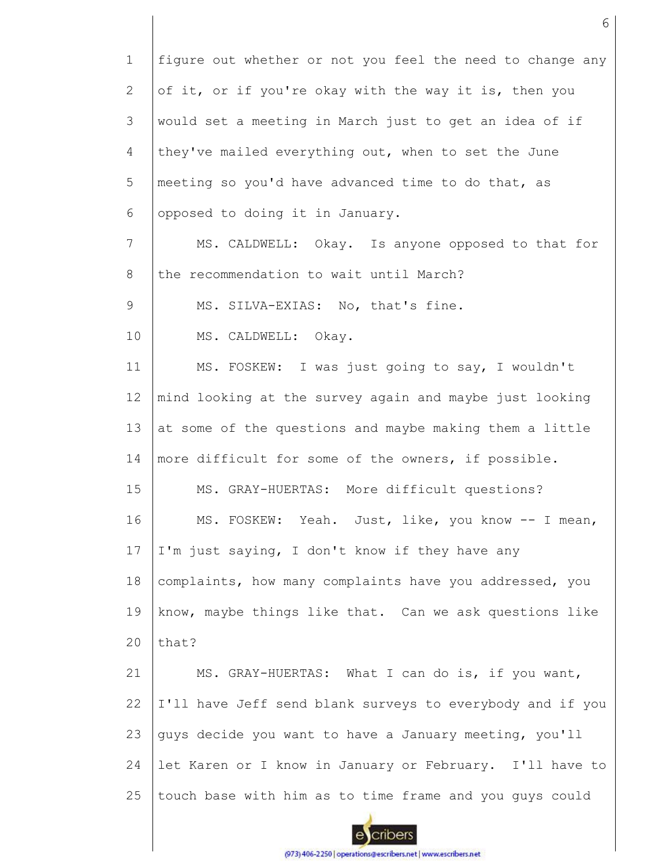| $\mathbf 1$  | figure out whether or not you feel the need to change any |
|--------------|-----------------------------------------------------------|
| $\mathbf{2}$ | of it, or if you're okay with the way it is, then you     |
| 3            | would set a meeting in March just to get an idea of if    |
| 4            | they've mailed everything out, when to set the June       |
| 5            | meeting so you'd have advanced time to do that, as        |
| 6            | opposed to doing it in January.                           |
| 7            | MS. CALDWELL: Okay. Is anyone opposed to that for         |
| 8            | the recommendation to wait until March?                   |
| 9            | MS. SILVA-EXIAS: No, that's fine.                         |
| 10           | MS. CALDWELL: Okay.                                       |
| 11           | MS. FOSKEW: I was just going to say, I wouldn't           |
| 12           | mind looking at the survey again and maybe just looking   |
| 13           | at some of the questions and maybe making them a little   |
| 14           | more difficult for some of the owners, if possible.       |
| 15           | MS. GRAY-HUERTAS: More difficult questions?               |
| 16           | MS. FOSKEW:<br>Yeah. Just, like, you know -- I mean,      |
| 17           | I'm just saying, I don't know if they have any            |
| 18           | complaints, how many complaints have you addressed, you   |
| 19           | know, maybe things like that. Can we ask questions like   |
| 20           | that?                                                     |
| 21           | MS. GRAY-HUERTAS: What I can do is, if you want,          |
| 22           | I'll have Jeff send blank surveys to everybody and if you |
| 23           | guys decide you want to have a January meeting, you'll    |
| 24           | let Karen or I know in January or February. I'll have to  |
| 25           | touch base with him as to time frame and you guys could   |
|              |                                                           |

(973) 406-2250 | operations@escribers.net | www.escribers.net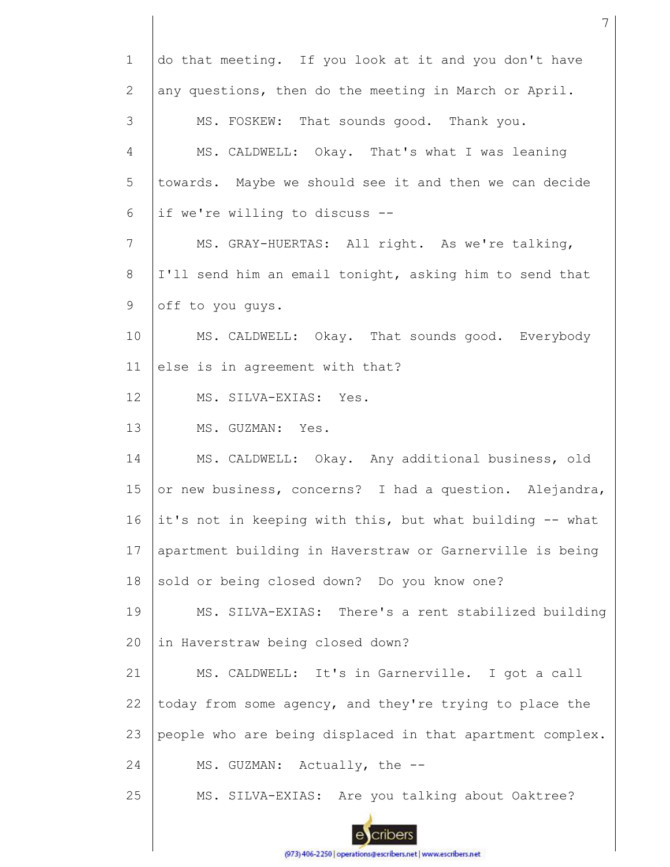|                | do that meeting. If you look at it and you don't have     |
|----------------|-----------------------------------------------------------|
| $\overline{2}$ | any questions, then do the meeting in March or April.     |
| 3              | MS. FOSKEW: That sounds good. Thank you.                  |
| 4              | MS. CALDWELL: Okay. That's what I was leaning             |
| 5              | towards. Maybe we should see it and then we can decide    |
| 6              | if we're willing to discuss --                            |
| 7              | MS. GRAY-HUERTAS: All right. As we're talking,            |
| 8              | I'll send him an email tonight, asking him to send that   |
| 9              | off to you guys.                                          |
| 10             | MS. CALDWELL: Okay. That sounds good. Everybody           |
| 11             | else is in agreement with that?                           |
| 12             | MS. SILVA-EXIAS: Yes.                                     |
| 13             | MS. GUZMAN: Yes.                                          |
| 14             | MS. CALDWELL: Okay. Any additional business, old          |
| 15             | or new business, concerns? I had a question. Alejandra,   |
| 16             | it's not in keeping with this, but what building -- what  |
|                |                                                           |
| 17             | apartment building in Haverstraw or Garnerville is being  |
| 18             | sold or being closed down? Do you know one?               |
| 19             | MS. SILVA-EXIAS: There's a rent stabilized building       |
| 20             | in Haverstraw being closed down?                          |
| 21             | MS. CALDWELL: It's in Garnerville. I got a call           |
| 22             | today from some agency, and they're trying to place the   |
| 23             | people who are being displaced in that apartment complex. |
| 24             | MS. GUZMAN: Actually, the --                              |

7

escribers (973) 406-2250 | operations@escribers.net | www.escribers.net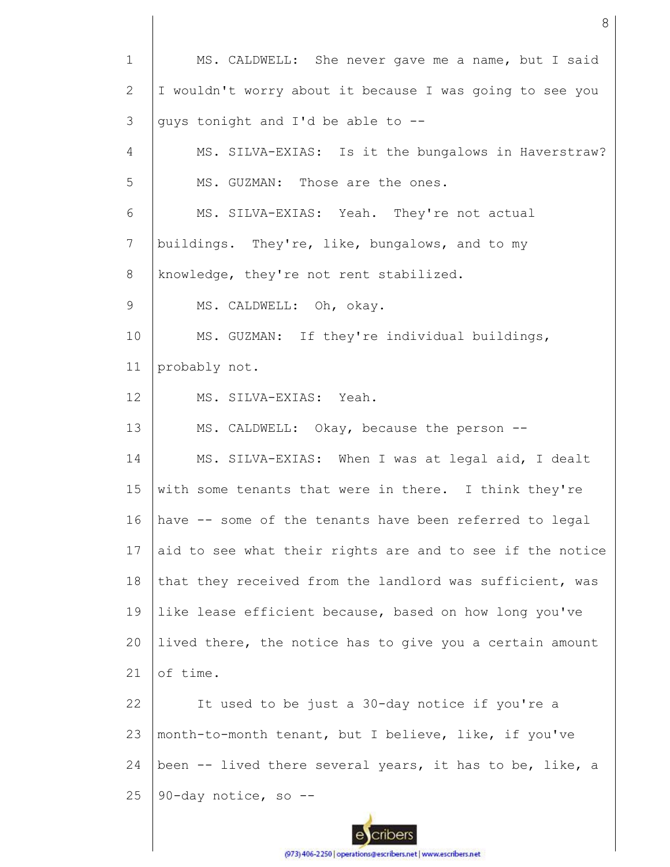1 2 3 4 5 6 7 8 9 10 11 12 13 14 15 16 17 18 19 20 21 22 23 24 25 MS. CALDWELL: She never gave me a name, but I said I wouldn't worry about it because I was going to see you guys tonight and I'd be able to -- MS. SILVA-EXIAS: Is it the bungalows in Haverstraw? MS. GUZMAN: Those are the ones. MS. SILVA-EXIAS: Yeah. They're not actual buildings. They're, like, bungalows, and to my knowledge, they're not rent stabilized. MS. CALDWELL: Oh, okay. MS. GUZMAN: If they're individual buildings, probably not. MS. SILVA-EXIAS: Yeah. MS. CALDWELL: Okay, because the person -- MS. SILVA-EXIAS: When I was at legal aid, I dealt with some tenants that were in there. I think they're have -- some of the tenants have been referred to legal aid to see what their rights are and to see if the notice that they received from the landlord was sufficient, was like lease efficient because, based on how long you've lived there, the notice has to give you a certain amount of time. It used to be just a 30-day notice if you're a month-to-month tenant, but I believe, like, if you've been -- lived there several years, it has to be, like, a 90-day notice, so --

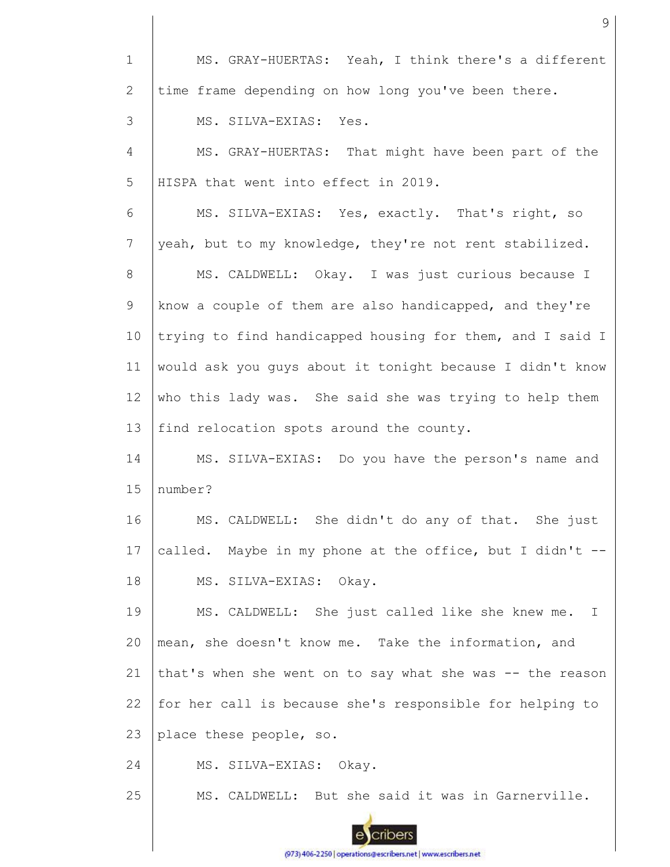1 2 3 4 5 6 7 8 9 10 11 12 13 14 15 16 17 18 19 20 21 22 23 24 25 MS. GRAY-HUERTAS: Yeah, I think there's a different time frame depending on how long you've been there. MS. SILVA-EXIAS: Yes. MS. GRAY-HUERTAS: That might have been part of the HISPA that went into effect in 2019. MS. SILVA-EXIAS: Yes, exactly. That's right, so yeah, but to my knowledge, they're not rent stabilized. MS. CALDWELL: Okay. I was just curious because I know a couple of them are also handicapped, and they're trying to find handicapped housing for them, and I said I would ask you guys about it tonight because I didn't know who this lady was. She said she was trying to help them find relocation spots around the county. MS. SILVA-EXIAS: Do you have the person's name and number? MS. CALDWELL: She didn't do any of that. She just called. Maybe in my phone at the office, but I didn't -- MS. SILVA-EXIAS: Okay. MS. CALDWELL: She just called like she knew me. I mean, she doesn't know me. Take the information, and that's when she went on to say what she was -- the reason for her call is because she's responsible for helping to place these people, so. MS. SILVA-EXIAS: Okay. MS. CALDWELL: But she said it was in Garnerville.

(973) 406-2250 | operations@escribers.net | www.escribers.net

cribers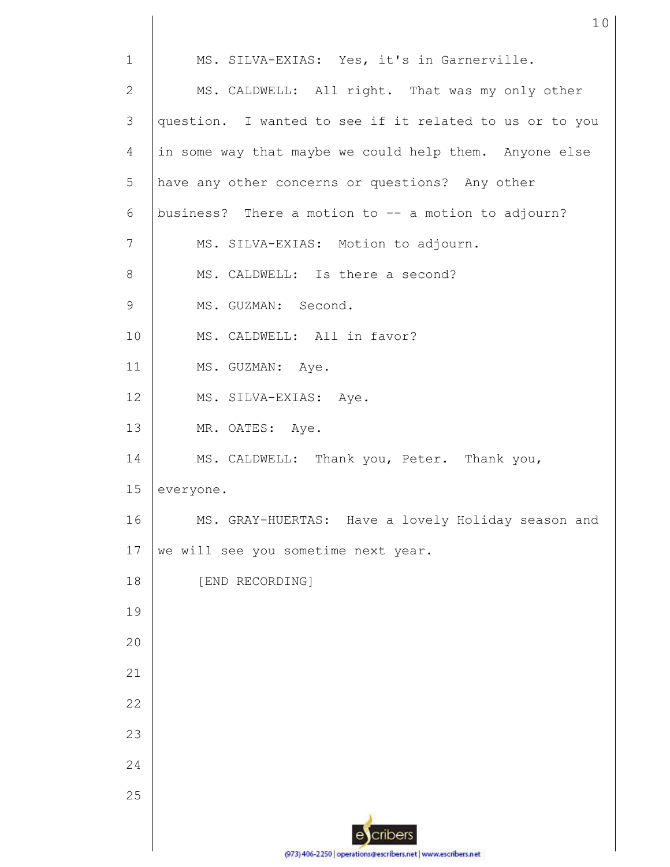| $\mathbf{1}$   | MS. SILVA-EXIAS: Yes, it's in Garnerville.              |
|----------------|---------------------------------------------------------|
| $\mathbf{2}$   | MS. CALDWELL: All right. That was my only other         |
| 3              | question. I wanted to see if it related to us or to you |
| $\overline{4}$ | in some way that maybe we could help them. Anyone else  |
| 5              | have any other concerns or questions? Any other         |
| 6              | business? There a motion to -- a motion to adjourn?     |
| $\overline{7}$ | MS. SILVA-EXIAS: Motion to adjourn.                     |
| 8              | MS. CALDWELL: Is there a second?                        |
| $\mathsf 9$    | MS. GUZMAN: Second.                                     |
| 10             | MS. CALDWELL: All in favor?                             |
| 11             | MS. GUZMAN: Aye.                                        |
| 12             | MS. SILVA-EXIAS: Aye.                                   |
| 13             | MR. OATES: Aye.                                         |
| 14             | MS. CALDWELL: Thank you, Peter. Thank you,              |
| 15             | everyone.                                               |
| 16             | MS. GRAY-HUERTAS: Have a lovely Holiday season and      |
| 17             | we will see you sometime next year.                     |
| 18             | [END RECORDING]                                         |
| 19             |                                                         |
| 20             |                                                         |
| 21             |                                                         |
| 22             |                                                         |
| 23             |                                                         |
| 24             |                                                         |
| 25             |                                                         |
|                | cribers                                                 |
|                |                                                         |

(973) 406-2250 | operations@escribers.net | www.escribers.net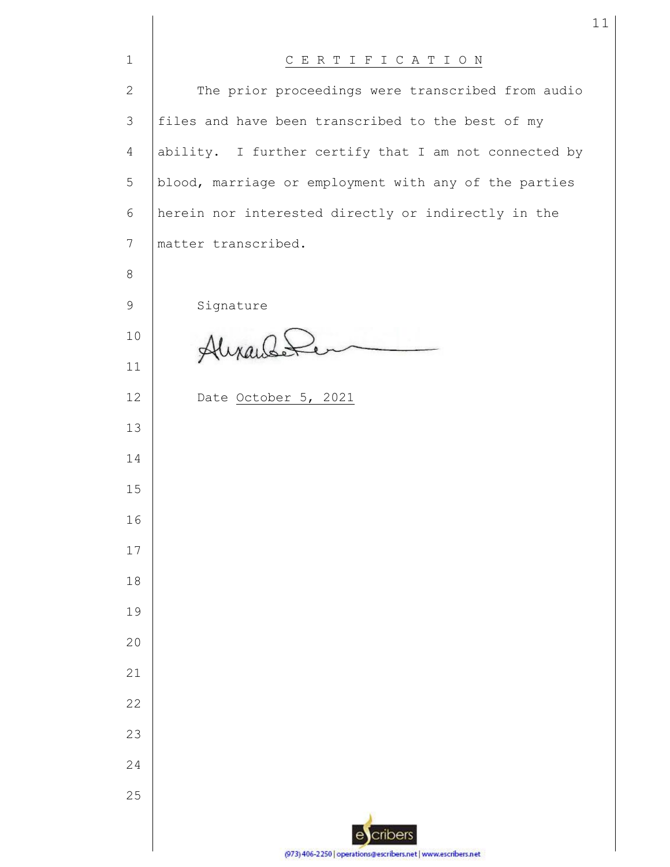| $\mathbf{1}$ | CERTIFICATION                                                 |
|--------------|---------------------------------------------------------------|
| $\mathbf{2}$ | The prior proceedings were transcribed from audio             |
| 3            | files and have been transcribed to the best of my             |
| 4            | ability. I further certify that I am not connected by         |
| 5            | blood, marriage or employment with any of the parties         |
| 6            | herein nor interested directly or indirectly in the           |
| 7            | matter transcribed.                                           |
| 8            |                                                               |
| 9            | Signature                                                     |
| 10           | Alixandele                                                    |
| 11           |                                                               |
| 12           | Date October 5, 2021                                          |
| 13           |                                                               |
| 14           |                                                               |
| 15           |                                                               |
| 16           |                                                               |
| 17           |                                                               |
| 18           |                                                               |
| 19           |                                                               |
| 20           |                                                               |
| 21           |                                                               |
| 22           |                                                               |
| 23           |                                                               |
| 24           |                                                               |
| 25           |                                                               |
|              | cribers<br>$\mathbf{e}$                                       |
|              | (973) 406-2250   operations@escribers.net   www.escribers.net |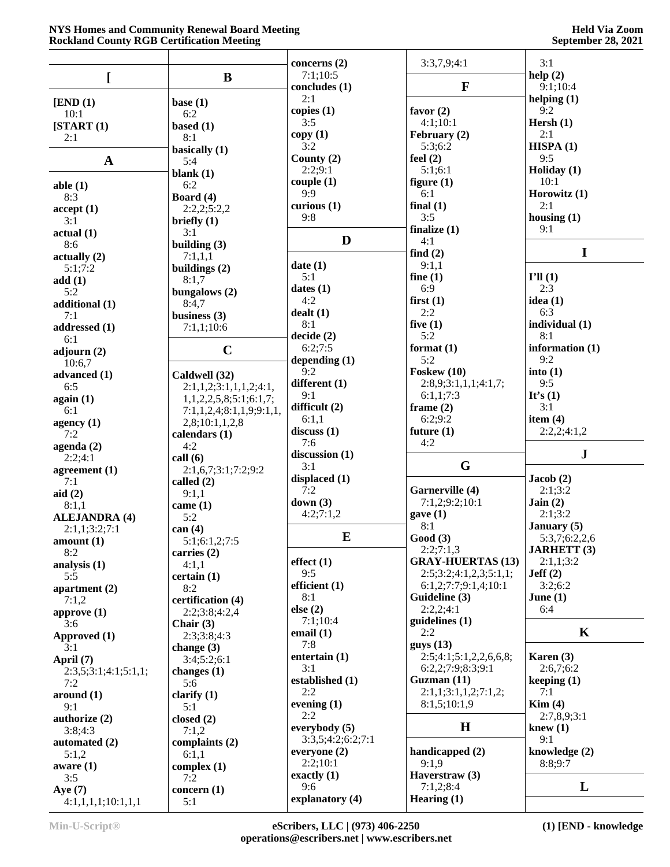|                                 |                               | concerns (2)           | 3:3,7,9;4:1                | 3:1                |
|---------------------------------|-------------------------------|------------------------|----------------------------|--------------------|
|                                 |                               | 7:1;10:5               |                            | help(2)            |
| L                               | $\bf{B}$                      | concludes (1)          | F                          | 9:1;10:4           |
|                                 |                               | 2:1                    |                            | helping $(1)$      |
| [END (1)]                       | base $(1)$                    | copies $(1)$           | favor $(2)$                | 9:2                |
| 10:1                            | 6:2                           | 3:5                    | 4:1;10:1                   | Hersh $(1)$        |
| [START (1)]                     | based $(1)$                   | copy(1)                | February (2)               | 2:1                |
| 2:1                             | 8:1                           | 3:2                    | 5:3;6:2                    | HISPA(1)           |
|                                 | basically (1)                 | County $(2)$           | feel $(2)$                 | 9:5                |
| $\mathbf{A}$                    | 5:4                           | 2:2;9:1                | 5:1;6:1                    | Holiday $(1)$      |
|                                 | blank $(1)$                   | couple(1)              | figure $(1)$               | 10:1               |
| able $(1)$                      | 6:2                           | 9:9                    | 6:1                        | Horowitz (1)       |
| 8:3                             | Board (4)                     | curious $(1)$          | final $(1)$                | 2:1                |
| accept(1)                       | 2:2,2;5:2,2                   | 9:8                    | 3:5                        | housing $(1)$      |
| 3:1                             | briefly $(1)$                 |                        | finalize $(1)$             | 9:1                |
| actual(1)                       | 3:1                           | D                      | 4:1                        |                    |
| 8:6                             | building $(3)$                |                        | find $(2)$                 | $\mathbf I$        |
| actually(2)                     | 7:1,1,1                       | date(1)                | 9:1,1                      |                    |
| 5:1;7:2                         | buildings (2)                 | 5:1                    | fine $(1)$                 | I'll(1)            |
| add(1)                          | 8:1,7                         |                        | 6:9                        | 2:3                |
| 5:2                             | bungalows (2)                 | dates $(1)$<br>4:2     |                            |                    |
| additional (1)                  | 8:4,7                         |                        | first(1)                   | idea $(1)$         |
| 7:1                             | business $(3)$                | dealt(1)               | 2:2                        | 6:3                |
| addressed (1)                   | 7:1,1;10:6                    | 8:1                    | five $(1)$                 | individual (1)     |
| 6:1                             |                               | decide(2)              | 5:2                        | 8:1                |
| adjourn (2)                     | $\mathbf C$                   | 6:2;7:5                | format $(1)$               | information (1)    |
| 10:6,7                          |                               | depending (1)          | 5:2                        | 9:2                |
| advanced (1)                    | Caldwell (32)                 | 9:2                    | Foskew $(10)$              | into(1)            |
| 6:5                             | 2:1,1,2;3:1,1,1,2;4:1,        | different (1)          | 2:8,9;3:1,1,1;4:1,7;       | 9:5                |
| again(1)                        | 1, 1, 2, 2, 5, 8; 5:1; 6:1,7; | 9:1                    | 6:1,1;7:3                  | It's $(1)$         |
| 6:1                             | 7:1,1,2,4;8:1,1,9;9:1,1,      | difficult $(2)$        | frame $(2)$                | 3:1                |
| agency $(1)$                    | 2,8;10:1,1,2,8                | 6:1,1                  | 6:2;9:2                    | item $(4)$         |
| 7:2                             | calendars (1)                 | discuss(1)             | future $(1)$               | 2:2,2;4:1,2        |
| $a$ genda $(2)$                 | 4:2                           | 7:6                    | 4:2                        |                    |
| 2:2;4:1                         | call(6)                       | discussion (1)         |                            | ${\bf J}$          |
| agreement $(1)$                 | 2:1,6,7;3:1;7:2;9:2           | 3:1                    | G                          |                    |
| 7:1                             | called $(2)$                  | displaced (1)          |                            | Jacob(2)           |
| aid $(2)$                       | 9:1,1                         | 7:2                    | Garnerville (4)            | 2:1;3:2            |
| 8:1,1                           | came $(1)$                    | down $(3)$             | 7:1,2;9:2;10:1             | Jain(2)            |
| <b>ALEJANDRA (4)</b>            | 5:2                           | 4:2;7:1,2              | gave(1)                    | 2:1;3:2            |
| 2:1,1;3:2;7:1                   | can $(4)$                     |                        | 8:1                        | <b>January</b> (5) |
| amount(1)                       | 5:1;6:1,2;7:5                 | E                      | Good(3)                    | 5:3,7;6:2,2,6      |
| 8:2                             | carries $(2)$                 |                        | 2:2;7:1,3                  | <b>JARHETT (3)</b> |
| analysis $(1)$                  | 4:1,1                         | effect(1)              | <b>GRAY-HUERTAS (13)</b>   | 2:1,1;3:2          |
| 5:5                             | certain (1)                   | 9:5                    | 2:5;3:2;4:1,2,3;5:1,1;     | Jeff(2)            |
| apartment $(2)$                 | 8:2                           | efficient $(1)$        | 6:1,2;7:7;9:1,4;10:1       | 3:2;6:2            |
| 7:1,2                           | certification (4)             | 8:1                    | Guideline (3)              | June $(1)$         |
| approve $(1)$                   | 2:2;3:8;4:2,4                 | else (2)               | 2:2,2;4:1                  | 6:4                |
| 3:6                             | Chair $(3)$                   | 7:1;10:4               | quidelines(1)              |                    |
| Approved (1)                    | 2:3;3:8;4:3                   | email $(1)$            | 2:2                        | $\bf K$            |
| 3:1                             |                               | 7:8                    | guys(13)                   |                    |
|                                 | change $(3)$                  | entertain (1)          | 2:5;4:1;5:1,2,2,6,6,8;     | Karen $(3)$        |
| April (7)                       | 3:4;5:2;6:1                   | 3:1                    | 6:2,2;7:9;8:3;9:1          | 2:6,7;6:2          |
| 2:3,5;3:1;4:1;5:1,1;            | changes (1)                   | established (1)        | Guzman (11)                | keeping $(1)$      |
| 7:2                             | 5:6                           | 2:2                    | 2:1,1;3:1,1,2;7:1,2;       | 7:1                |
| around (1)                      | clarify $(1)$                 | evening $(1)$          | 8:1,5;10:1,9               | Kim(4)             |
| 9:1                             | 5:1                           | 2:2                    |                            | 2:7,8,9;3:1        |
| authorize (2)                   | closed $(2)$                  | everybody $(5)$        | $\bf H$                    |                    |
| 3:8;4:3                         | 7:1,2                         | 3:3,5;4:2;6:2;7:1      |                            | knew $(1)$<br>9:1  |
| automated (2)                   | complaints $(2)$              |                        |                            |                    |
| 5:1,2                           | 6:1,1                         | everyone $(2)$         | handicapped (2)            | knowledge (2)      |
| aware $(1)$                     | complex $(1)$                 | 2:2;10:1               | 9:1,9                      | 8:8;9:7            |
| 3:5                             |                               |                        |                            |                    |
|                                 | 7:2                           | exactly $(1)$          | Haverstraw (3)             |                    |
| Aye $(7)$<br>4:1,1,1,1;10:1,1,1 | concern $(1)$<br>5:1          | 9:6<br>explanatory (4) | 7:1,2;8:4<br>Hearing $(1)$ | L                  |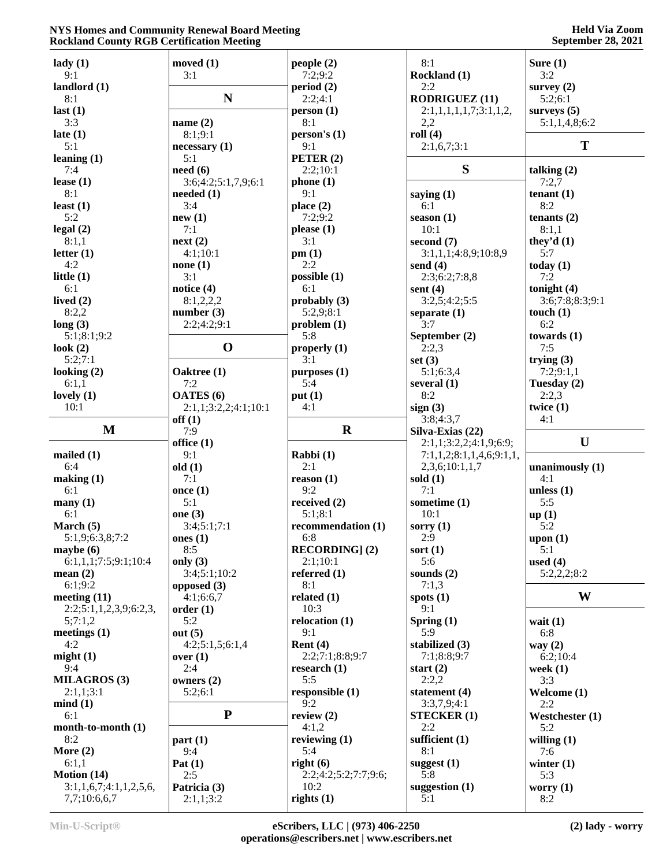| $\text{lady}(1)$                       | moved $(1)$               | people(2)              | 8:1                      | Sure $(1)$         |
|----------------------------------------|---------------------------|------------------------|--------------------------|--------------------|
| 9:1                                    | 3:1                       | 7:2;9:2                | Rockland (1)             | 3:2                |
| landlord (1)                           |                           | period(2)              | 2:2                      | survey $(2)$       |
| 8:1                                    | N                         | 2:2;4:1                | <b>RODRIGUEZ (11)</b>    | 5:2;6:1            |
| last $(1)$                             |                           | person(1)              | 2:1,1,1,1,1,1,7;3:1,1,2, | surveys $(5)$      |
| 3:3                                    | name $(2)$                | 8:1                    | 2,2                      | 5:1,1,4,8;6:2      |
|                                        |                           |                        |                          |                    |
| late $(1)$                             | 8:1;9:1                   | person's(1)            | roll(4)                  |                    |
| 5:1                                    | necessary(1)              | 9:1                    | 2:1,6,7;3:1              | T                  |
| leaning $(1)$                          | 5:1                       | PETER(2)               |                          |                    |
| 7:4                                    | need(6)                   | 2:2;10:1               | S                        | talking $(2)$      |
| lease $(1)$                            | 3:6;4:2;5:1,7,9;6:1       | phone(1)               |                          | 7:2,7              |
| 8:1                                    | needed (1)                | 9:1                    | saying $(1)$             | tenant $(1)$       |
| least $(1)$                            | 3:4                       | place $(2)$            | 6:1                      | 8:2                |
|                                        |                           |                        |                          |                    |
| 5:2                                    | new(1)                    | 7:2;9:2                | season $(1)$             | tenants $(2)$      |
| legal(2)                               | 7:1                       | please (1)             | 10:1                     | 8:1,1              |
| 8:1,1                                  | next(2)                   | 3:1                    | second $(7)$             | they'd $(1)$       |
| letter $(1)$                           | 4:1;10:1                  | pm(1)                  | 3:1,1,1;4:8,9;10:8,9     | 5:7                |
| 4:2                                    | none $(1)$                | 2:2                    | send $(4)$               | today $(1)$        |
| little $(1)$                           | 3:1                       | possible $(1)$         | 2:3;6:2;7:8,8            | 7:2                |
|                                        |                           | 6:1                    |                          |                    |
| 6:1                                    | notice $(4)$              |                        | sent $(4)$               | tonight $(4)$      |
| lived $(2)$                            | 8:1,2,2,2                 | probability(3)         | 3:2,5;4:2;5:5            | 3:6;7:8;8:3;9:1    |
| 8:2,2                                  | number(3)                 | 5:2,9;8:1              | separate $(1)$           | touch $(1)$        |
| long(3)                                | 2:2;4:2;9:1               | problem(1)             | 3:7                      | 6:2                |
| 5:1;8:1;9:2                            |                           | 5:8                    | September (2)            | towards $(1)$      |
| look $(2)$                             | $\mathbf 0$               | properly (1)           | 2:2,3                    | 7:5                |
| 5:2;7:1                                |                           | 3:1                    | set $(3)$                | trying $(3)$       |
|                                        |                           |                        |                          |                    |
| looking $(2)$                          | Oaktree (1)               | $p$ urposes $(1)$      | 5:1;6:3,4                | 7:2;9:1,1          |
| 6:1,1                                  | 7:2                       | 5:4                    | several $(1)$            | Tuesday (2)        |
| lovely $(1)$                           | <b>OATES</b> (6)          | put $(1)$              | 8:2                      | 2:2,3              |
| 10:1                                   | 2:1,1;3:2,2;4:1;10:1      | 4:1                    | sign(3)                  | twice $(1)$        |
|                                        | off(1)                    |                        | 3:8;4:3,7                | 4:1                |
| M                                      | 7:9                       | $\mathbf R$            |                          |                    |
|                                        |                           |                        |                          |                    |
|                                        |                           |                        | Silva-Exias (22)         |                    |
|                                        | office $(1)$              |                        | 2:1,1;3:2,2;4:1,9;6:9;   | $\mathbf U$        |
| mailed $(1)$                           | 9:1                       | Rabbi (1)              | 7:1,1,2;8:1,1,4,6;9:1,1, |                    |
| 6:4                                    | old(1)                    | 2:1                    | 2,3,6;10:1,1,7           | unanimously $(1)$  |
| making (1)                             | 7:1                       | reason (1)             | sold $(1)$               | 4:1                |
| 6:1                                    |                           | 9:2                    | 7:1                      |                    |
|                                        | once $(1)$                |                        |                          | unless $(1)$       |
| $\mathbf{many}$ (1)                    | 5:1                       | received $(2)$         | sometime (1)             | 5:5                |
| 6:1                                    | one $(3)$                 | 5:1;8:1                | 10:1                     | up(1)              |
| March $(5)$                            | 3:4;5:1;7:1               | recommendation (1)     | sorry $(1)$              | 5:2                |
| 5:1,9;6:3,8;7:2                        | ones $(1)$                | 6:8                    | 2:9                      | upon $(1)$         |
| maybe $(6)$                            | 8:5                       | <b>RECORDING</b> ] (2) | sort $(1)$               | 5:1                |
| 6:1,1,1;7:5;9:1;10:4                   | only $(3)$                | 2:1;10:1               | 5:6                      | used $(4)$         |
|                                        |                           |                        |                          |                    |
| mean $(2)$                             | 3:4;5:1;10:2              | referred $(1)$         | sounds $(2)$             | 5:2,2,2;8:2        |
| 6:1;9:2                                | opposed $(3)$             | 8:1                    | 7:1,3                    |                    |
| meeting $(11)$                         | 4:1;6:6,7                 | related (1)            | spots $(1)$              | W                  |
| 2:2;5:1,1,2,3,9;6:2,3,                 | order(1)                  | 10:3                   | 9:1                      |                    |
| 5;7:1,2                                | 5:2                       | relocation $(1)$       | Spring $(1)$             | wait $(1)$         |
| meetings $(1)$                         | out $(5)$                 | 9:1                    | 5:9                      | 6:8                |
| 4:2                                    | 4:2;5:1,5;6:1,4           | Rent $(4)$             | stabilized (3)           | way $(2)$          |
|                                        |                           |                        |                          |                    |
| might(1)                               | over(1)                   | 2:2;7:1;8:8;9:7        | 7:1;8:8;9:7              | 6:2;10:4           |
| 9:4                                    | 2:4                       | research $(1)$         | start $(2)$              | week $(1)$         |
| <b>MILAGROS</b> (3)                    | owners $(2)$              | 5:5                    | 2:2,2                    | 3:3                |
| 2:1,1;3:1                              | 5:2;6:1                   | responsible (1)        | statement $(4)$          | Welcome (1)        |
| mind(1)                                |                           | 9:2                    | 3:3,7,9;4:1              | 2:2                |
| 6:1                                    | ${\bf P}$                 | review $(2)$           | <b>STECKER (1)</b>       | Westchester (1)    |
| month-to-month (1)                     |                           | 4:1,2                  | 2:2                      | 5:2                |
|                                        |                           |                        |                          |                    |
| 8:2                                    | part(1)                   | reviewing $(1)$        | sufficient $(1)$         | willing $(1)$      |
| More $(2)$                             | 9:4                       | 5:4                    | 8:1                      | 7:6                |
| 6:1,1                                  | Pat $(1)$                 | right $(6)$            | suggest $(1)$            | winter $(1)$       |
| Motion (14)                            | 2:5                       | 2:2;4:2;5:2;7:7;9:6;   | 5:8                      | 5:3                |
| 3:1,1,6,7;4:1,1,2,5,6,<br>7,7;10:6,6,7 | Patricia (3)<br>2:1,1;3:2 | 10:2<br>rights(1)      | suggestion (1)<br>5:1    | worry $(1)$<br>8:2 |